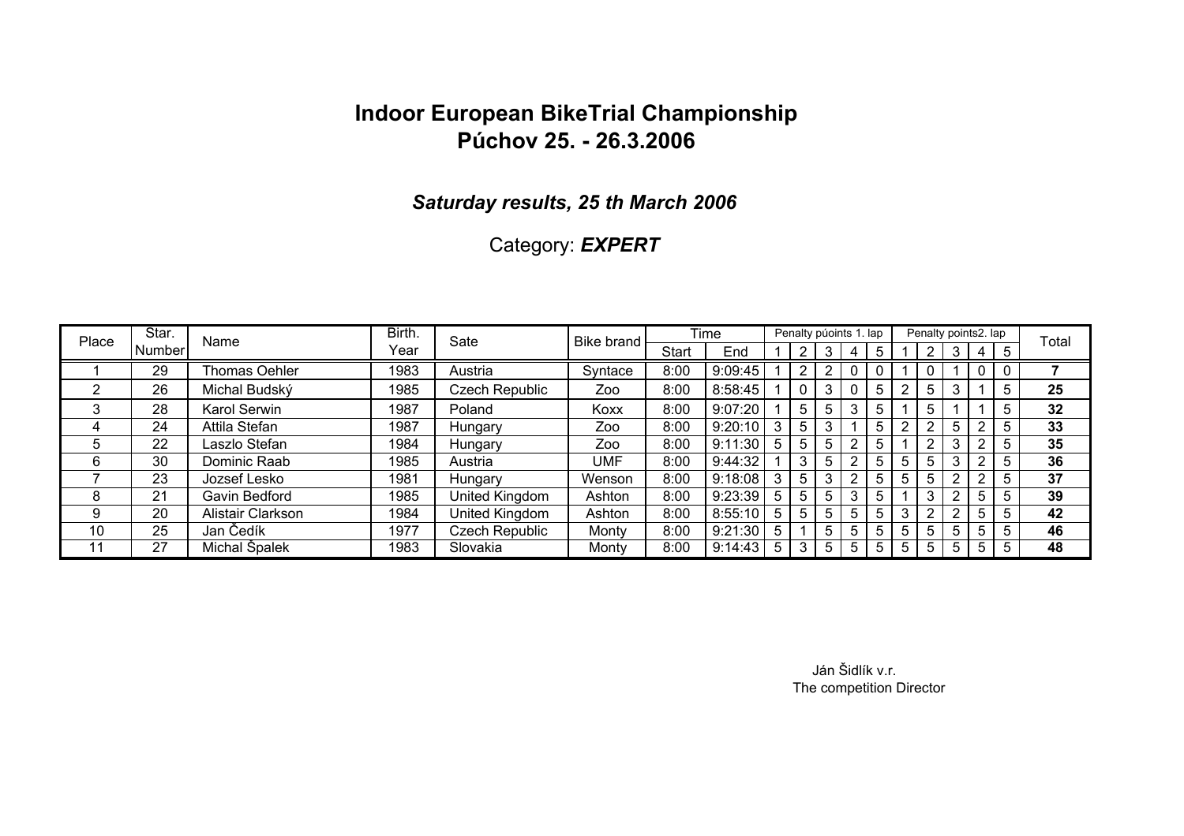#### *Saturday results, 25 th March 2006*

### Category: *EXPERT*

| Place | Star.   | Name              | Birth. | Sate           | Bike brand |              | Time    |             |    | Penalty púoints 1. lap |   |   |   | Penalty points2. lap |                |                |   | Total |
|-------|---------|-------------------|--------|----------------|------------|--------------|---------|-------------|----|------------------------|---|---|---|----------------------|----------------|----------------|---|-------|
|       | Numberl |                   | Year   |                |            | <b>Start</b> | End     |             |    | 3                      | 4 | 5 |   | $\overline{2}$       | 3              | $\overline{4}$ | 5 |       |
|       | 29      | Thomas Oehler     | 1983   | Austria        | Syntace    | 8:00         | 9:09:45 |             |    |                        |   |   |   |                      |                |                |   |       |
|       | 26      | Michal Budský     | 1985   | Czech Republic | Zoo        | 8:00         | 8:58:45 |             |    | 3                      |   | 5 |   | 5                    |                |                | 5 | 25    |
| 3     | 28      | Karol Serwin      | 1987   | Poland         | Koxx       | 8:00         | 9:07:20 |             | 5  | 5                      | 3 | 5 |   | 5                    |                |                | 5 | 32    |
| 4     | 24      | Attila Stefan     | 1987   | Hungary        | Zoo        | 8:00         | 9:20:10 | 3           |    |                        |   | 5 |   |                      | 5              | ာ              | 5 | 33    |
| ხ     | 22      | Laszlo Stefan     | 1984   | Hungary        | Zoo        | 8:00         | 9:11:30 | 5           |    | 5                      | ົ | 5 |   |                      | 3              | 2              | 5 | 35    |
| 6     | 30      | Dominic Raab      | 1985   | Austria        | UMF        | 8:00         | 9:44:32 |             |    | 5                      |   | 5 | 5 | 5                    | 3              | 2              | 5 | 36    |
|       | 23      | Jozsef Lesko      | 1981   | Hungary        | Wenson     | 8:00         | 9:18:08 | 3           |    | 3                      |   | 5 | 5 | 5                    | $\overline{2}$ | $\overline{2}$ | 5 | 37    |
| 8     | 21      | Gavin Bedford     | 1985   | United Kingdom | Ashton     | 8:00         | 9:23:39 | 5           | 5. | 5                      | 3 | 5 |   | 3                    | $\overline{2}$ | 5              | 5 | 39    |
| 9     | 20      | Alistair Clarkson | 1984   | United Kingdom | Ashton     | 8:00         | 8:55:10 | 5           | 5  | 5                      | 5 | 5 | 3 | ົ                    | 2              | 5              | 5 | 42    |
| 10    | 25      | Jan Čedík         | 1977   | Czech Republic | Monty      | 8:00         | 9:21:30 | 5           |    | 5.                     | 5 | 5 | 5 | 5                    | 5              | 5              | 5 | 46    |
| 11    | 27      | Michal Špalek     | 1983   | Slovakia       | Monty      | 8:00         | 9:14:43 | $5^{\circ}$ |    | 5.                     | 5 | 5 | 5 | 5                    | 5              | 5              | 5 | 48    |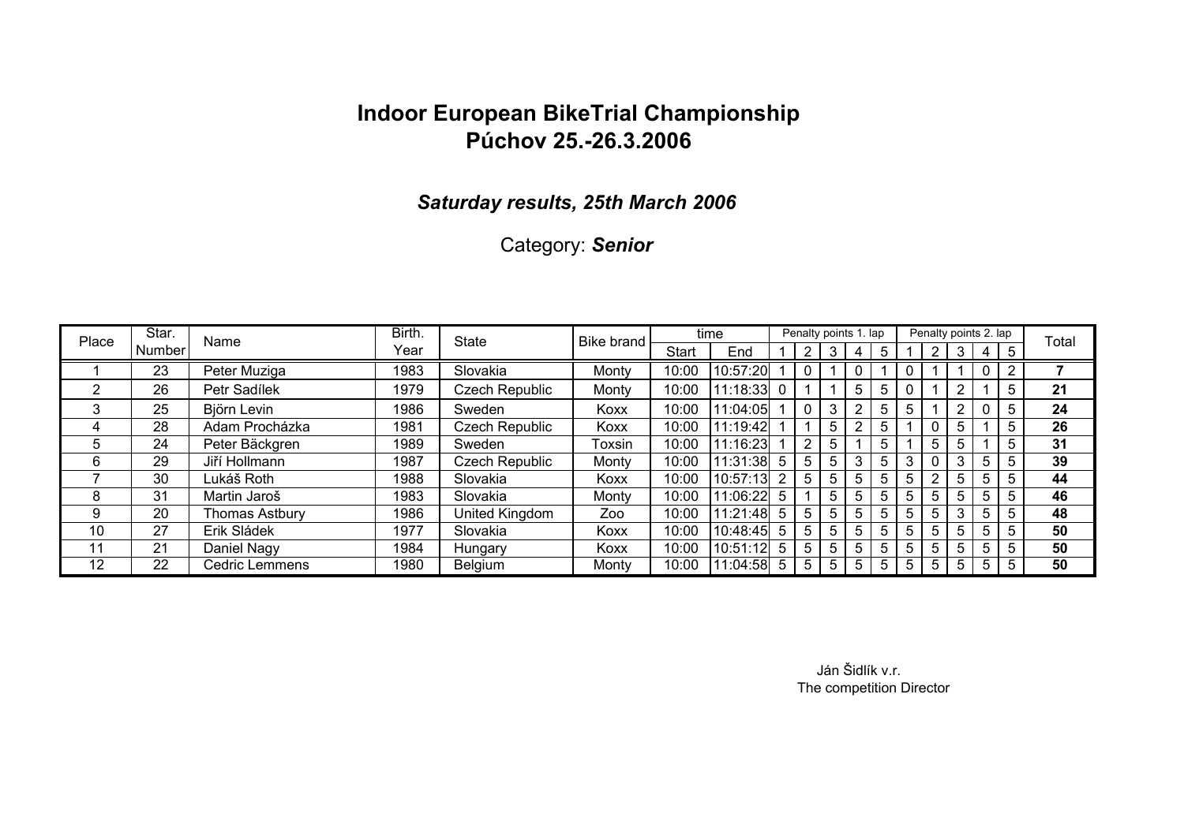### *Saturday results, 25th March 2006*

Category: *Senior*

| Place | Star.         | Name                  | Birth. | <b>State</b>   | <b>Bike brand</b> |       | time     |                |                       | Penalty points 1. lap |   |    |   |   |    | Penalty points 2. lap |    | Total |
|-------|---------------|-----------------------|--------|----------------|-------------------|-------|----------|----------------|-----------------------|-----------------------|---|----|---|---|----|-----------------------|----|-------|
|       | <b>Number</b> |                       | Year   |                |                   | Start | End      |                |                       | 3                     |   | 5  |   |   | 3  | 4                     | 5  |       |
|       | 23            | Peter Muziga          | 1983   | Slovakia       | Monty             | 10:00 | 10:57:20 |                |                       |                       |   |    |   |   |    |                       | ົ  |       |
| っ     | 26            | Petr Sadílek          | 1979   | Czech Republic | Monty             | 10:00 | 11:18:33 | $\Omega$       |                       |                       | 5 | 5  |   |   | C  |                       | 5  | 21    |
| 3     | 25            | Björn Levin           | 1986   | Sweden         | Koxx              | 10:00 | 11:04:05 |                |                       | 3                     | ົ | 5  | 5 |   | ◠  |                       | 5  | 24    |
| 4     | 28            | Adam Procházka        | 1981   | Czech Republic | Koxx              | 10:00 | 1:19:42  |                |                       | 5                     | າ | 5  |   |   | 5  |                       | 5. | 26    |
| .5    | 24            | Peter Bäckgren        | 1989   | Sweden         | Toxsin            | 10:00 | 1:16:23  |                | $\mathbf{2}^{\prime}$ | 5                     |   | .h |   | 5 | 5  |                       | b  | 31    |
| 6     | 29            | Jiří Hollmann         | 1987   | Czech Republic | Monty             | 10:00 | 11:31:38 | 5              | 5.                    | 5                     | 3 | b  | 3 |   |    | 5                     | b  | 39    |
|       | 30            | Lukáš Roth            | 1988   | Slovakia       | Koxx              | 10:00 | 10:57:13 | $\overline{2}$ | 5.                    | 5                     | 5 | 5  | 5 | າ | 5. | 5                     | 5  | 44    |
| 8     | 31            | Martin Jaroš          | 1983   | Slovakia       | Monty             | 10:00 | 11:06:22 | 5              |                       | 5                     | 5 | 5  | 5 | 5 | 5  | 5                     | 5  | 46    |
| 9     | 20            | <b>Thomas Astbury</b> | 1986   | United Kingdom | Zoo               | 10:00 | 11:21:48 | 5              | 5                     | 5                     | 5 | 5  | 5 | 5 | 3  | 5                     | 5  | 48    |
| 10    | 27            | Erik Sládek           | 1977   | Slovakia       | Koxx              | 10:00 | 10:48:45 | -5             | 5.                    | 5                     | 5 | 5  | 5 | 5 | 5. | 5                     | 5  | 50    |
| 11    | 21            | Daniel Nagy           | 1984   | Hungary        | Koxx              | 10:00 | 10:51:12 | 5              | 5                     | 5                     | 5 | 5  | 5 | 5 | 5. | 5                     | 5  | 50    |
| 12    | 22            | Cedric Lemmens        | 1980   | Belgium        | Monty             | 10:00 | 11:04:58 | -5             | 5                     | 5                     | 5 | b  | 5 | 5 | 5. | 5                     | 5  | 50    |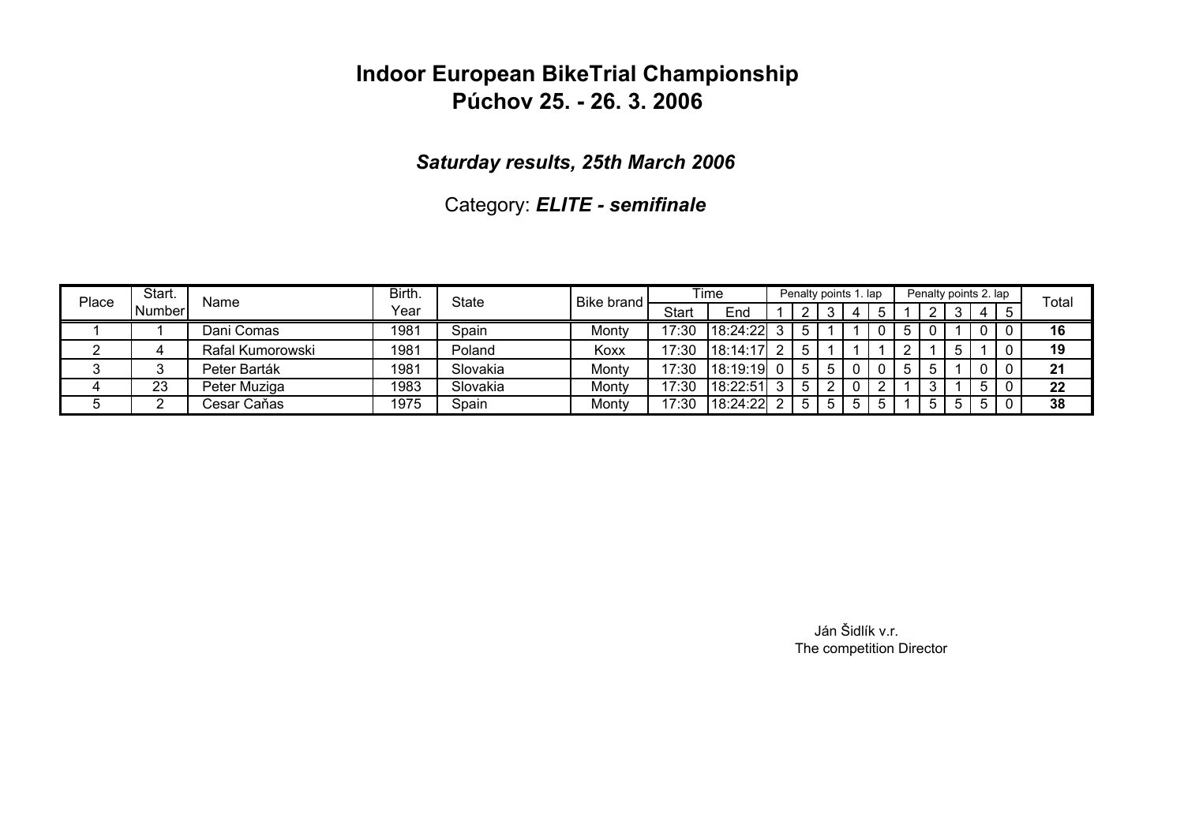### *Saturday results, 25th March 2006*

Category: *ELITE - semifinale*

| Place | Start. | Name             | Birth. | State    | Bike brand |              | Time     |  | Penalty points 1. lap |   |  | Penalty points 2. lap |             |    |   | Total |
|-------|--------|------------------|--------|----------|------------|--------------|----------|--|-----------------------|---|--|-----------------------|-------------|----|---|-------|
|       | Number |                  | Year   |          |            | <b>Start</b> | End      |  |                       | 4 |  |                       |             | -4 |   |       |
|       |        | Dani Comas       | 1981   | Spain    | Monty      | 17:30        | 18:24:22 |  |                       |   |  |                       |             |    |   | 16    |
|       |        | Rafal Kumorowski | 1981   | Poland   | Koxx       | 17:30        | 18:14:17 |  |                       |   |  |                       |             |    |   | 19    |
|       |        | Peter Barták     | 1981   | Slovakia | Monty      | 17:30        | 18:19:19 |  |                       |   |  |                       |             |    |   | 21    |
| 4     | 23     | Peter Muziga     | 1983   | Slovakia | Monty      | 17:30        | 18:22:51 |  |                       |   |  |                       |             | 5  | 0 | 22    |
|       |        | Cesar Caňas      | 1975   | Spain    | Monty      | 17:30        | 18:24:22 |  |                       |   |  | $\mathcal{D}$         | $5^{\circ}$ | -5 |   | 38    |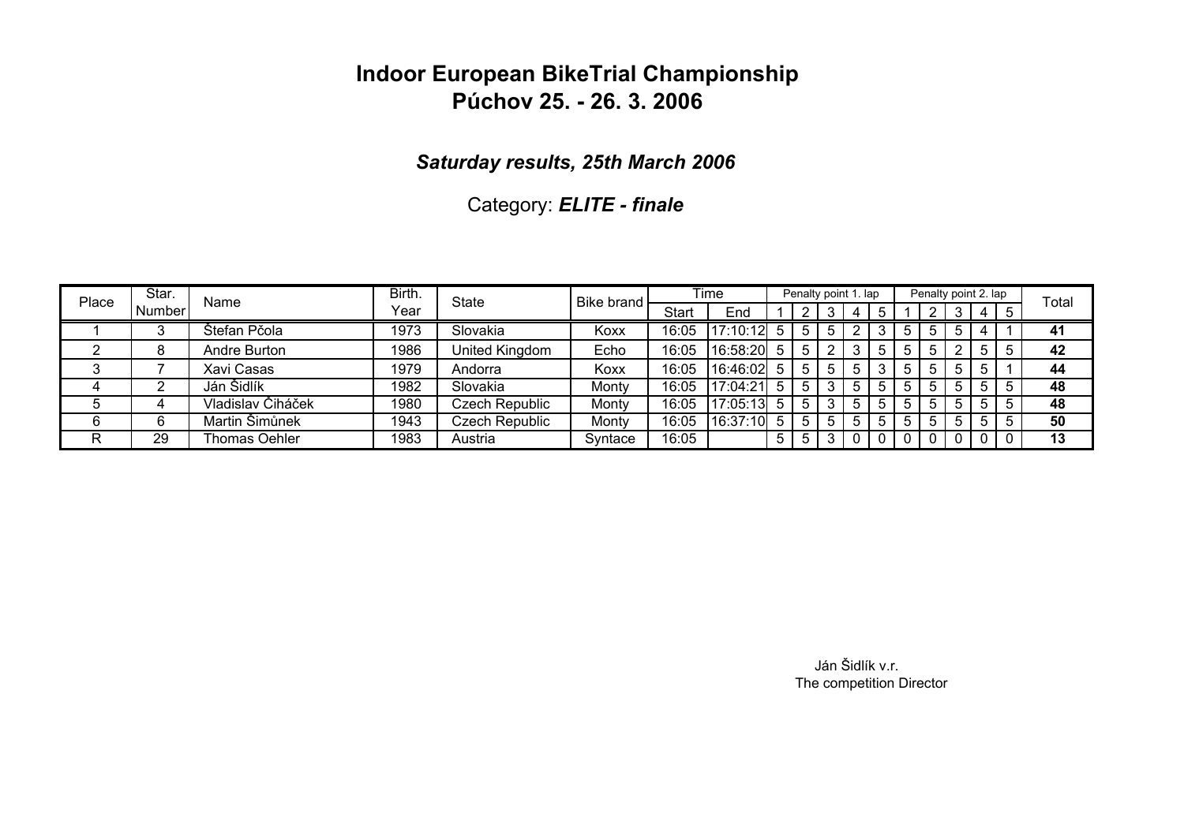### *Saturday results, 25th March 2006*

Category: *ELITE - finale*

| Place | Star.  | Name              | Birth. | State          | <b>Bike brand</b> |       | Time     |    | Penalty point 1. lap |   |   | Penalty point 2. lap |     |   |             | Total |
|-------|--------|-------------------|--------|----------------|-------------------|-------|----------|----|----------------------|---|---|----------------------|-----|---|-------------|-------|
|       | Number |                   | Year   |                |                   | Start | End      |    |                      |   |   |                      |     | 4 |             |       |
|       |        | Štefan Pčola      | 1973   | Slovakia       | Koxx              | 16:05 | 17:10:12 |    |                      |   |   |                      | 5   |   |             | 41    |
|       | 8      | Andre Burton      | 1986   | United Kingdom | Echo              | 16:05 | 16:58:20 | 5  |                      |   |   | 5                    |     | 5 | $\mathbf b$ | 42    |
|       |        | Xavi Casas        | 1979   | Andorra        | Koxx              | 16:05 | 16:46:02 | 5. | $\mathbf b$          |   |   | 5.                   | 5   | 5 |             | 44    |
|       |        | Ján Šidlík        | 1982   | Slovakia       | Montv             | 16:05 | 17:04:21 |    |                      |   | b | h.                   | 5 I | 5 | 5           | 48    |
|       |        | Vladislav Čiháček | 1980   | Czech Republic | Montv             | 16:05 | 17:05:13 | 5  |                      | 5 |   | 5                    | 5   | 5 | 5           | 48    |
|       | 6      | Martin Šimůnek    | 1943   | Czech Republic | Montv             | 16:05 | 16:37:10 | 5. | 5                    |   |   | 5                    | 5   | 5 | 5           | 50    |
| R     | 29     | Thomas Oehler     | 1983   | Austria        | Syntace           | 16:05 |          | 5  |                      |   |   |                      |     |   |             | 13    |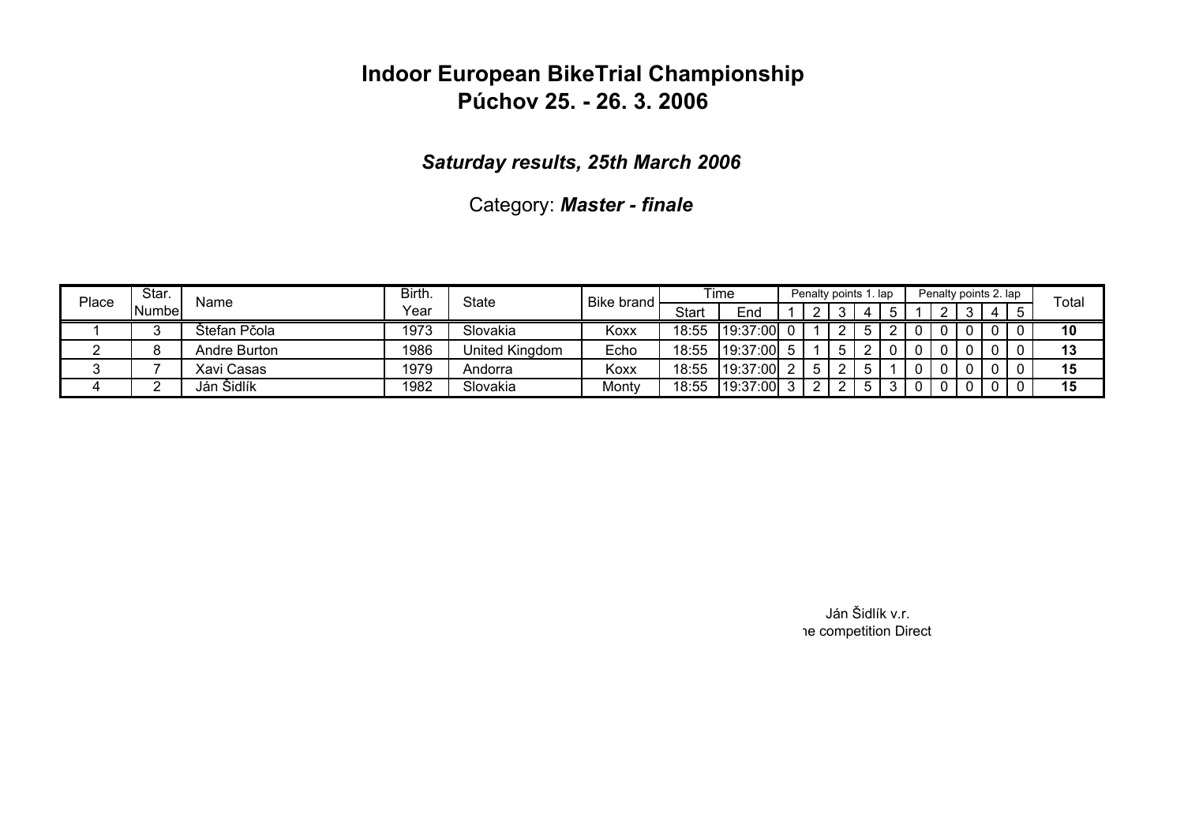### *Saturday results, 25th March 2006*

Category: *Master - finale*

| Place | Star.  | Name         | Birth. | State          | <b>Bike brand</b> |       | Time     |   | Penalty points 1. lap |  | Penalty points 2. lap |   | Total |
|-------|--------|--------------|--------|----------------|-------------------|-------|----------|---|-----------------------|--|-----------------------|---|-------|
|       | Numbel |              | Year   |                |                   | Start | End      | ົ |                       |  | ົ                     | 4 |       |
|       |        | Stefan Pčola | 1973   | Slovakia       | Koxx              | 18:55 | 19:37:00 |   |                       |  |                       |   | 10    |
|       |        | Andre Burton | 1986   | United Kingdom | Echo              | 18:55 | 19:37:00 |   |                       |  |                       |   | 13    |
|       |        | Xavi Casas   | 1979   | Andorra        | Koxx              | 18:55 | 19:37:00 |   |                       |  |                       |   | 15    |
|       |        | Ján Šidlík   | 1982   | Slovakia       | Monty             | 18:55 | 19:37:00 |   |                       |  |                       |   | 15    |

Ján Šidlík v.r. he competition Direct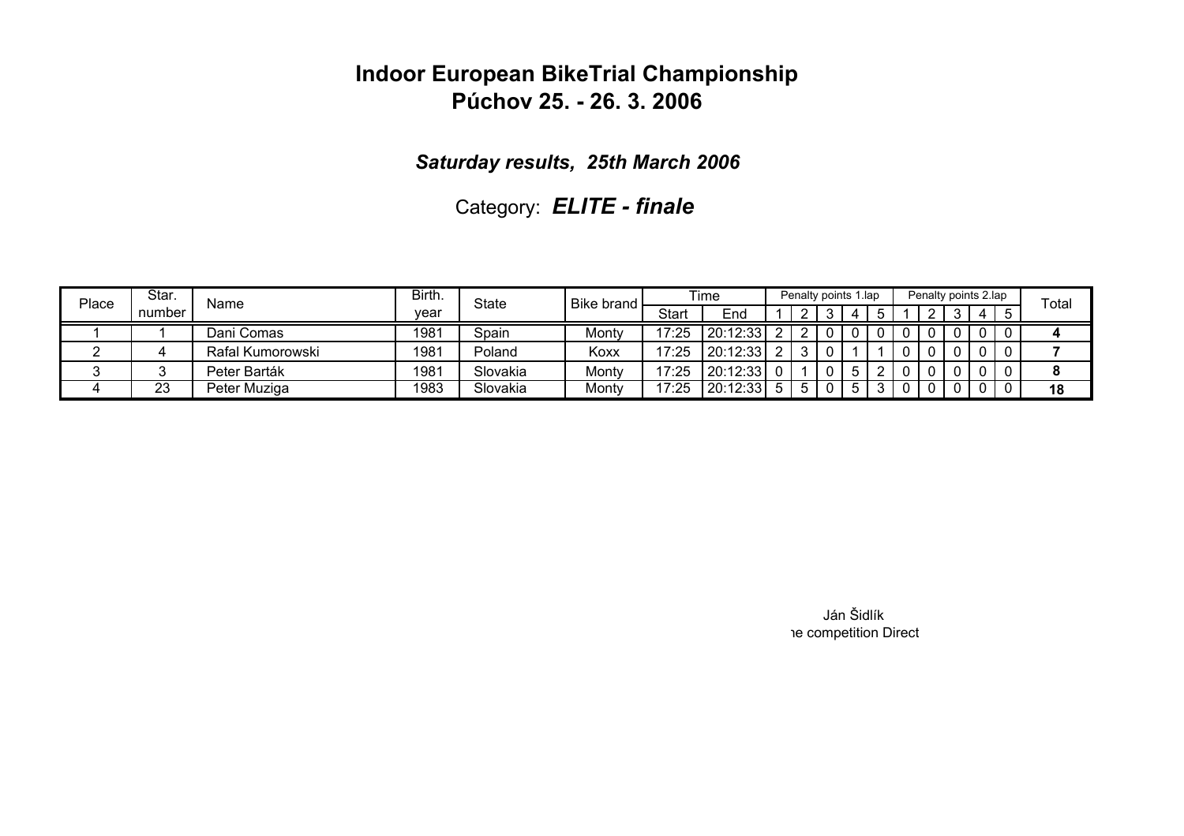*Saturday results, 25th March 2006*

Category: *ELITE - finale*

| Place | Star.  | Name             | Birth. | <b>State</b> | Bike brand |       | Time     |  | Penalty points 1.lap |            |  |  | Penalty points 2.lap | Total |
|-------|--------|------------------|--------|--------------|------------|-------|----------|--|----------------------|------------|--|--|----------------------|-------|
|       | number |                  | vear   |              |            | Start | End      |  |                      | $\sqrt{ }$ |  |  | -4                   |       |
|       |        | Dani Comas       | 1981   | Spain        | Montv      | 17:25 | 20:12:33 |  |                      |            |  |  |                      |       |
|       |        | Rafal Kumorowski | 1981   | Poland       | Koxx       | 17:25 | 20:12:33 |  |                      |            |  |  |                      |       |
|       |        | Peter Barták     | 1981   | Slovakia     | Monty      | 17:25 | 20:12:33 |  |                      |            |  |  |                      |       |
| ≖     | 23     | Peter Muziga     | 1983   | Slovakia     | Monty      | 17:25 | 20:12:33 |  |                      |            |  |  |                      | 18    |

Ján Šidlík he competition Direct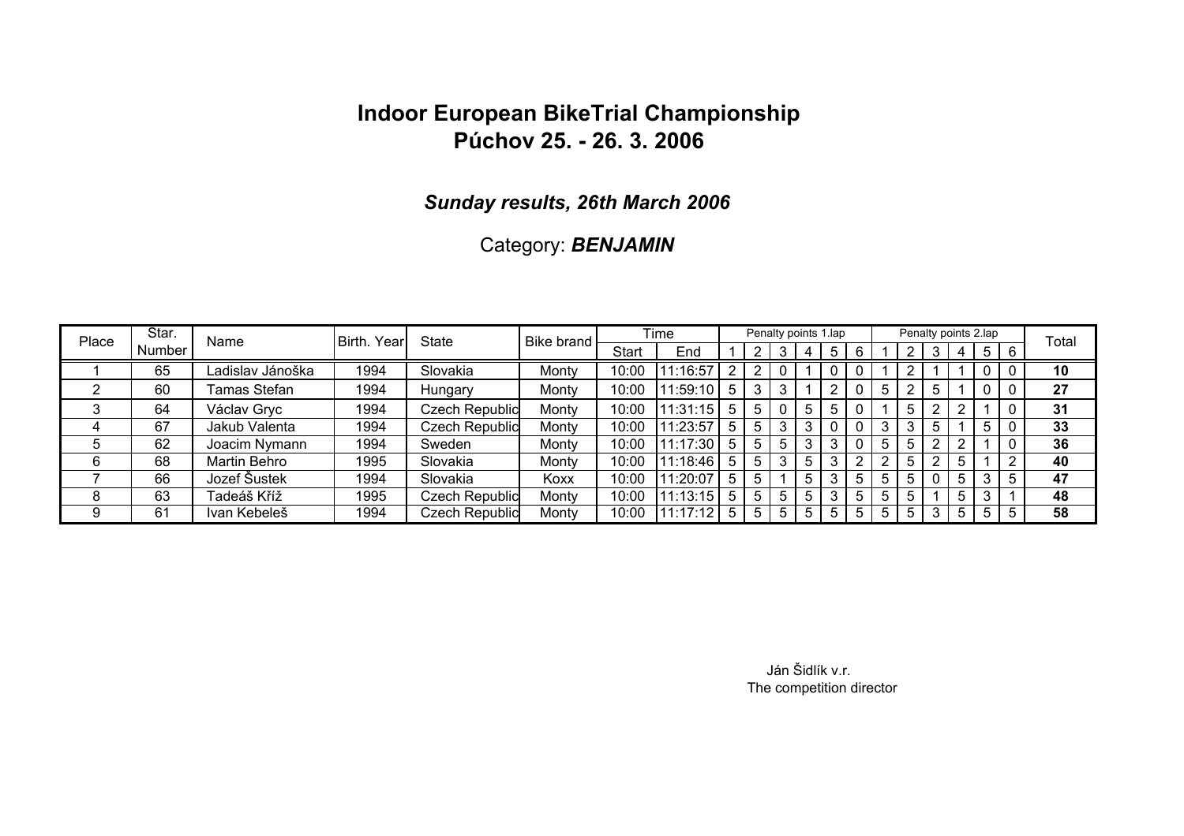#### *Sunday results, 26th March 2006*

### Category: *BENJAMIN*

| Place | Star.    | Name             | Birth. Year | <b>State</b>          | Bike brand |              | <b>Time</b> |   |   | Penalty points 1.lap |                |   |   |   | Penalty points 2.lap |                |    |   | Total |
|-------|----------|------------------|-------------|-----------------------|------------|--------------|-------------|---|---|----------------------|----------------|---|---|---|----------------------|----------------|----|---|-------|
|       | Number I |                  |             |                       |            | <b>Start</b> | End         |   |   |                      |                |   |   |   |                      |                | 5  |   |       |
|       | 65       | Ladislav Jánoška | 1994        | Slovakia              | Monty      | 10:00        | 11:16:57    |   |   |                      |                |   |   |   |                      |                |    |   | 10    |
|       | 60       | Tamas Stefan     | 1994        | Hungary               | Monty      | 10:00        | 11:59:10    | 5 |   |                      |                |   |   |   |                      |                |    |   | 27    |
| 3     | 64       | Václav Gryc      | 1994        | <b>Czech Republic</b> | Monty      | 10:00        | 11:31:15    | 5 |   |                      |                |   |   |   |                      |                |    |   | 31    |
|       | 67       | Jakub Valenta    | 1994        | <b>Czech Republic</b> | Monty      | 10:00        | 11:23:57    | 5 |   |                      | ≏              |   |   |   | 3                    |                |    |   | 33    |
| ა     | 62       | Joacim Nymann    | 1994        | Sweden                | Monty      | 10:00        | 11:17:30    | 5 | 5 |                      |                |   |   |   | 5                    |                |    |   | 36    |
| 6     | 68       | Martin Behro     | 1995        | Slovakia              | Monty      | 10:00        | 11:18:46    | 5 |   |                      | 5 <sup>1</sup> | 3 |   |   | 5                    |                |    | ົ | 40    |
|       | 66       | Jozef Šustek     | 1994        | Slovakia              | Koxx       | 10:00        | 1:20:07     | 5 |   |                      |                |   |   |   |                      |                | 3  |   | 47    |
| 8     | 63       | Tadeáš Kříž      | 1995        | <b>Czech Republic</b> | Monty      | 10:00        | 11:13:15    | 5 | 5 | 5.                   | 5 <sub>1</sub> |   |   |   |                      | 5 <sup>1</sup> |    |   | 48    |
| 9     | 61       | Ivan Kebeleš     | 1994        | <b>Czech Republic</b> | Monty      | 10:00        | 11:17:12    | 5 | 5 | 5                    | 5 <sup>1</sup> | 5 | 5 | 5 | 5                    | 5 <sup>1</sup> | -5 |   | 58    |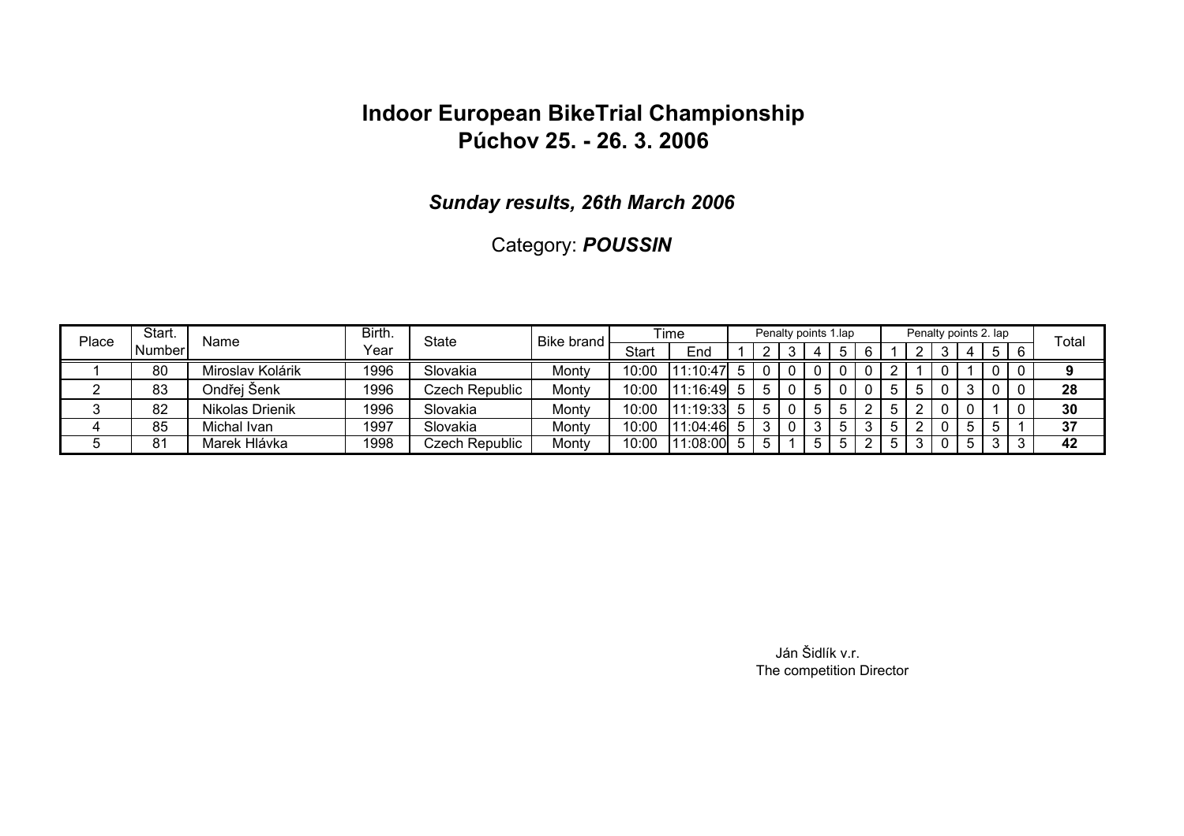#### *Sunday results, 26th March 2006*

### Category: *POUSSIN*

| Place | Start. | Name             | Birth. | State          | Bike brand |       | Time         |    | Penalty points 1.lap |   |  | Penalty points 2. lap |    |            | Total |
|-------|--------|------------------|--------|----------------|------------|-------|--------------|----|----------------------|---|--|-----------------------|----|------------|-------|
|       | Number |                  | Year   |                |            | Start | End          |    |                      | 4 |  |                       | 4  | $5 \mid 6$ |       |
|       | 80     | Miroslav Kolárik | 1996   | Slovakia       | Monty      | 10:00 | 11:10:47     |    |                      |   |  |                       |    |            |       |
|       | 83     | Ondřei Šenk      | 1996   | Czech Republic | Monty      | 10:00 | $11:16:49$ 5 |    |                      |   |  |                       |    |            | 28    |
|       | 82     | Nikolas Drienik  | 1996   | Slovakia       | Monty      | 10:00 | $11:19:33$ 5 |    |                      | 5 |  |                       |    |            | 30    |
|       | 85     | Michal Ivan      | 1997   | Slovakia       | Monty      | 10:00 | 1:04:46      |    |                      |   |  |                       | b. |            | 37    |
|       | 81     | Marek Hlávka     | 1998   | Czech Republic | Monty      | 10:00 | 1:08:00      | .5 |                      | 5 |  |                       | b. |            | 42    |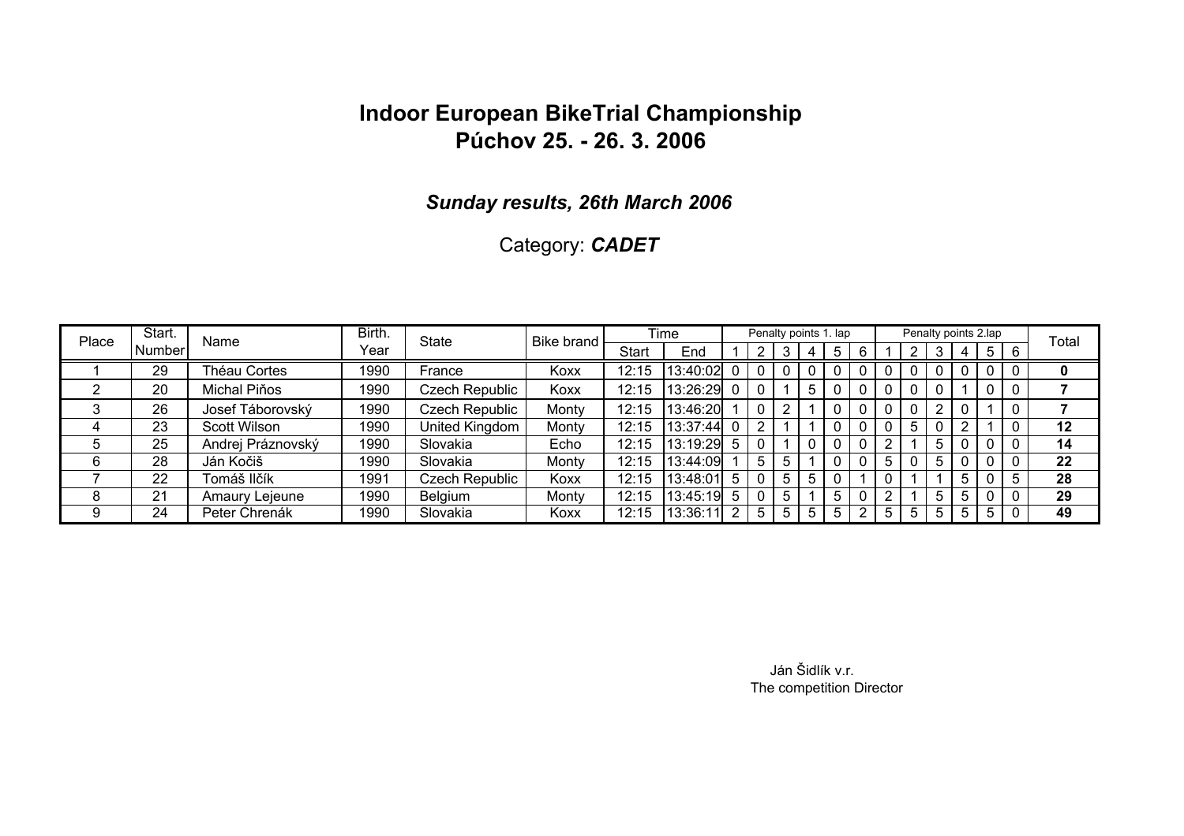#### *Sunday results, 26th March 2006*

### Category: *CADET*

| Place | Start.  | Name              | Birth. | <b>State</b>   | Bike brand |              | <b>Time</b> |   | Penalty points 1. lap |    |     |   |   | Penalty points 2.lap |    |                |                |                | Total |
|-------|---------|-------------------|--------|----------------|------------|--------------|-------------|---|-----------------------|----|-----|---|---|----------------------|----|----------------|----------------|----------------|-------|
|       | Numberl |                   | Year   |                |            | <b>Start</b> | End         |   |                       | 3  | 4   |   |   |                      |    |                | 5 <sup>1</sup> | i 6            |       |
|       | 29      | Théau Cortes      | 1990   | France         | Koxx       | 12:15        | 13:40:02    |   |                       |    |     |   |   |                      |    |                |                |                | U     |
|       | 20      | Michal Piňos      | 1990   | Czech Republic | Koxx       | 12:15        | 13:26:29 0  |   | - 0                   |    | 5   |   |   |                      |    |                |                |                |       |
|       | 26      | Josef Táborovský  | 1990   | Czech Republic | Monty      | 12:15        | 13:46:20    |   |                       | റ  |     |   |   |                      |    |                |                |                |       |
|       | 23      | Scott Wilson      | 1990   | United Kingdom | Monty      | 12:15        | 13:37:44    |   |                       |    |     |   |   |                      |    |                |                |                | 12    |
| .ხ    | 25      | Andrej Práznovský | 1990   | Slovakia       | Echo       | 12:15        | 13:19:29    | 5 |                       |    |     |   |   |                      |    |                |                |                | 14    |
| 6     | 28      | Ján Kočiš         | 1990   | Slovakia       | Monty      | 12:15        | 13:44:09    |   | 5                     | 5  |     |   |   |                      |    |                |                |                | 22    |
|       | 22      | Tomáš Ilčík       | 1991   | Czech Republic | Koxx       | 12:15        | 13:48:01    | 5 |                       | 5. | 5.  |   |   |                      |    |                |                |                | 28    |
| 8     | 21      | Amaury Lejeune    | 1990   | <b>Belgium</b> | Monty      | 12:15        | 13:45:19    | 5 |                       | 5  |     |   |   |                      | 5. |                |                | $\overline{0}$ | 29    |
| 9     | 24      | Peter Chrenák     | 1990   | Slovakia       | Koxx       | 12:15        | 13:36:11    |   | 5                     | 5  | 5 I | 5 | 5 | 5                    | 5. | 5 <sub>1</sub> | 5              |                | 49    |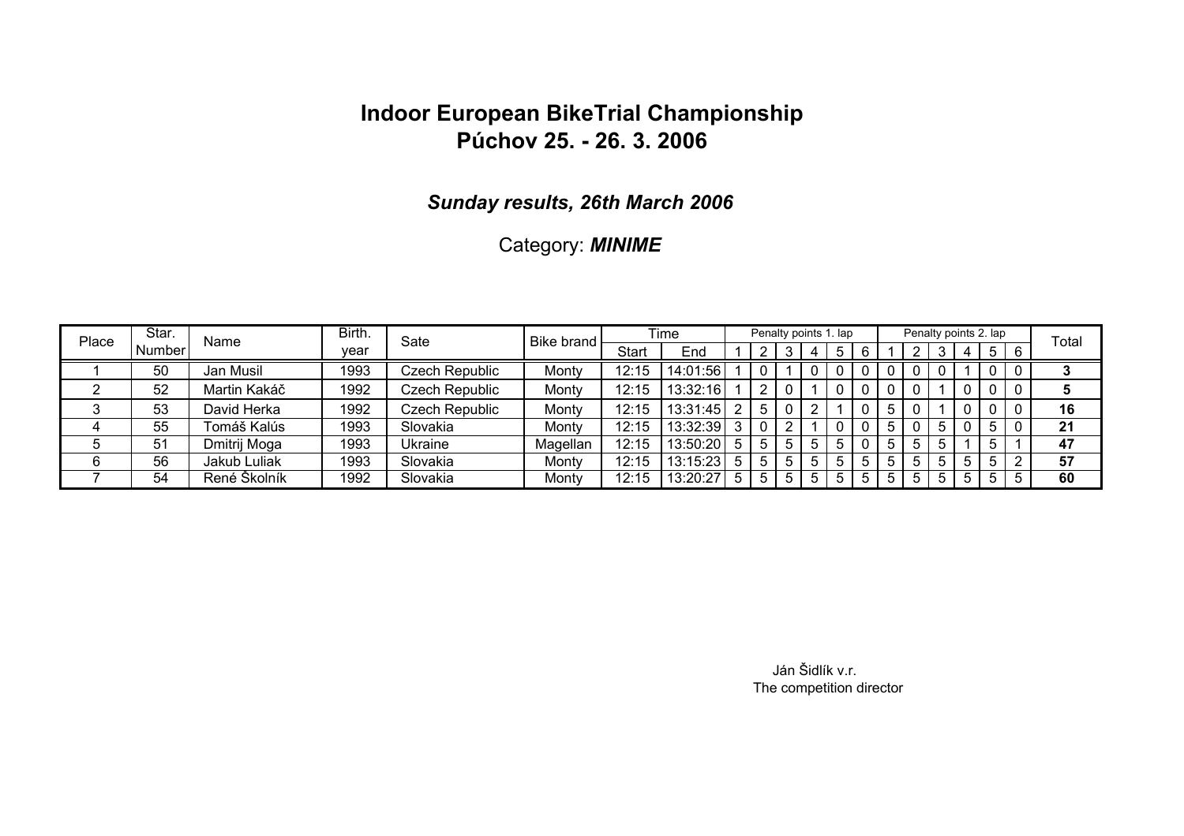#### *Sunday results, 26th March 2006*

### Category: *MINIME*

| Place | Star.         | Name         | Birth. | Sate                  | Bike brand |       | Time      |    |   |  | Penalty points 1. lap |  | Penalty points 2. lap |              |       |   |   | Total |
|-------|---------------|--------------|--------|-----------------------|------------|-------|-----------|----|---|--|-----------------------|--|-----------------------|--------------|-------|---|---|-------|
|       | <b>Number</b> |              | vear   |                       |            | Start | End       |    |   |  |                       |  |                       |              | 4     | 5 | 6 |       |
|       | 50            | Jan Musil    | 1993   | Czech Republic        | Monty      | 12:15 | 14:01:56  |    |   |  |                       |  |                       |              |       |   |   |       |
|       | 52            | Martin Kakáč | 1992   | Czech Republic        | Monty      | 12:15 | 13:32:16  |    |   |  |                       |  |                       |              |       |   |   |       |
|       | 53            | David Herka  | 1992   | <b>Czech Republic</b> | Monty      | 12:15 | 13:31:45  |    | 5 |  |                       |  |                       |              |       |   |   | 16    |
|       | 55            | Tomáš Kalús  | 1993   | Slovakia              | Monty      | 12:15 | 13:32:39  |    |   |  |                       |  |                       |              |       |   |   | 21    |
|       | 51            | Dmitrij Moga | 1993   | Ukraine               | Magellan   | 12:15 | 13:50:20  | -5 |   |  |                       |  |                       |              |       |   |   | 47    |
| 6     | 56            | Jakub Luliak | 1993   | Slovakia              | Monty      | 12:15 | 13:15:231 |    |   |  |                       |  |                       | <sub>5</sub> |       |   | ◠ | 57    |
|       | 54            | René Školník | 1992   | Slovakia              | Monty      | 12:15 | 13:20:27  |    |   |  |                       |  |                       | ხ            | $5 -$ | 5 | b | 60    |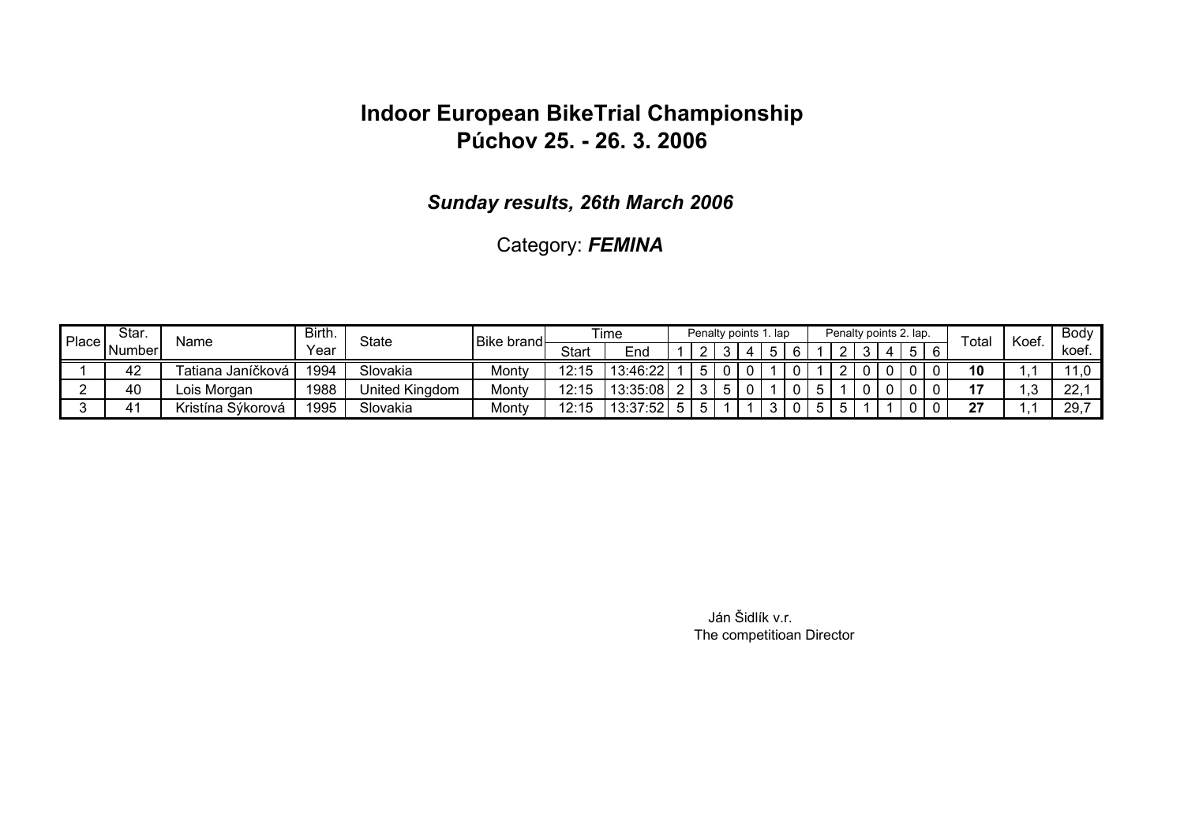*Sunday results, 26th March 2006*

Category: *FEMINA*

| Place | Star.  | Name              | Birth. | State          | <b>Bike brand</b> |              | Time       |                      | Penalty points 1. lap |  |  |  | Penalty points 2. lap. | $\tau$ otai | Koef. | Body    |
|-------|--------|-------------------|--------|----------------|-------------------|--------------|------------|----------------------|-----------------------|--|--|--|------------------------|-------------|-------|---------|
|       | Number |                   | Year   |                |                   | <b>Start</b> | End        |                      |                       |  |  |  | Б.                     |             |       | koef.   |
|       | 42     | Fatiana Janíčková | 1994   | Slovakia       | Monty             | 12:1         | 13:46:22   | $\ddot{\phantom{1}}$ |                       |  |  |  |                        | 10          |       |         |
|       | 40     | Lois Morgan       | 1988   | United Kingdom | Monty             | 12:15        | 13:35:08 2 | 21                   |                       |  |  |  |                        | 47          |       | ററ<br>▵ |
|       | 4.     | Kristína Sýkorová | 1995   | Slovakia       | Monty             | ۱Ź.          | 13:37:52   |                      |                       |  |  |  |                        | 27          |       | 29      |